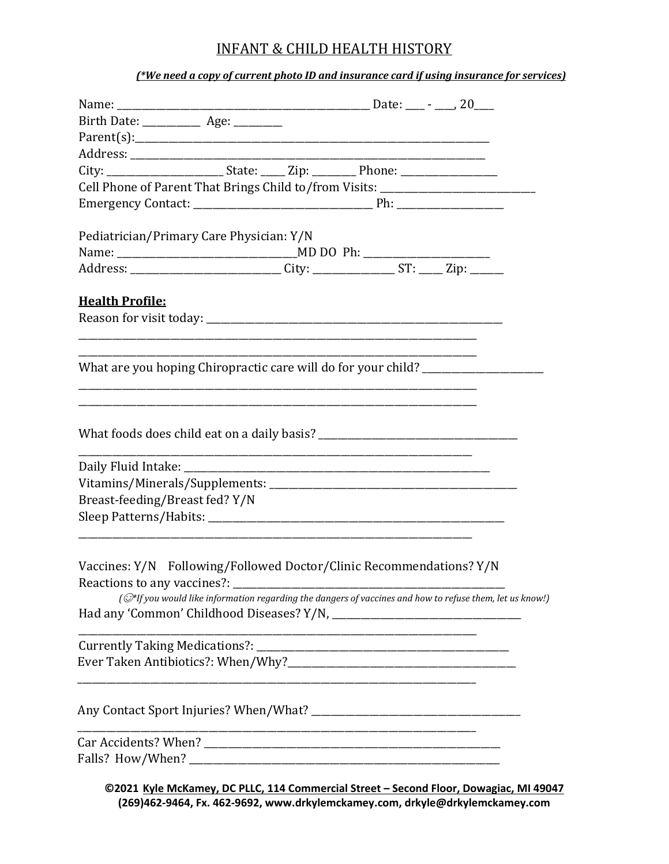## INFANT & CHILD HEALTH HISTORY

#### *(\*We need a copy of current photo ID and insurance card if using insurance for services)*

| Birth Date: _____________ Age: _________                                                           |  |                                                                  |                                                                                                          |
|----------------------------------------------------------------------------------------------------|--|------------------------------------------------------------------|----------------------------------------------------------------------------------------------------------|
|                                                                                                    |  |                                                                  |                                                                                                          |
|                                                                                                    |  |                                                                  |                                                                                                          |
| City: ________________________State: _____ Zip: __________ Phone: _______________                  |  |                                                                  |                                                                                                          |
|                                                                                                    |  |                                                                  | Cell Phone of Parent That Brings Child to/from Visits: _________________________                         |
|                                                                                                    |  |                                                                  |                                                                                                          |
| Pediatrician/Primary Care Physician: Y/N                                                           |  |                                                                  |                                                                                                          |
|                                                                                                    |  |                                                                  |                                                                                                          |
| Address: ___________________________City: _________________ST: _____Zip: _______                   |  |                                                                  |                                                                                                          |
| <b>Health Profile:</b>                                                                             |  |                                                                  |                                                                                                          |
| What are you hoping Chiropractic care will do for your child?                                      |  |                                                                  |                                                                                                          |
|                                                                                                    |  | <u> 1980 - Jan James James Barnett, fransk politik (d. 1980)</u> |                                                                                                          |
|                                                                                                    |  |                                                                  |                                                                                                          |
|                                                                                                    |  |                                                                  |                                                                                                          |
| Breast-feeding/Breast fed? Y/N                                                                     |  |                                                                  |                                                                                                          |
|                                                                                                    |  |                                                                  |                                                                                                          |
| Vaccines: Y/N Following/Followed Doctor/Clinic Recommendations? Y/N<br>Reactions to any vaccines?: |  |                                                                  | (C*If you would like information regarding the dangers of vaccines and how to refuse them, let us know!) |
|                                                                                                    |  |                                                                  |                                                                                                          |
| Currently Taking Medications?:                                                                     |  |                                                                  |                                                                                                          |
|                                                                                                    |  |                                                                  |                                                                                                          |
|                                                                                                    |  |                                                                  |                                                                                                          |
|                                                                                                    |  |                                                                  |                                                                                                          |
| Falls? How/When?                                                                                   |  |                                                                  |                                                                                                          |
|                                                                                                    |  |                                                                  | @2021 Kulo McKamey, DC BLLC, 114 Commercial Street - Second Floor, Dowggiac, ML490                       |

**©2021 Kyle McKamey, DC PLLC, 114 Commercial Street – Second Floor, Dowagiac, MI 49047 (269)462-9464, Fx. 462-9692[, www.drkylemckamey.com,](http://www.drkylemckamey.com/) drkyle@drkylemckamey.com**